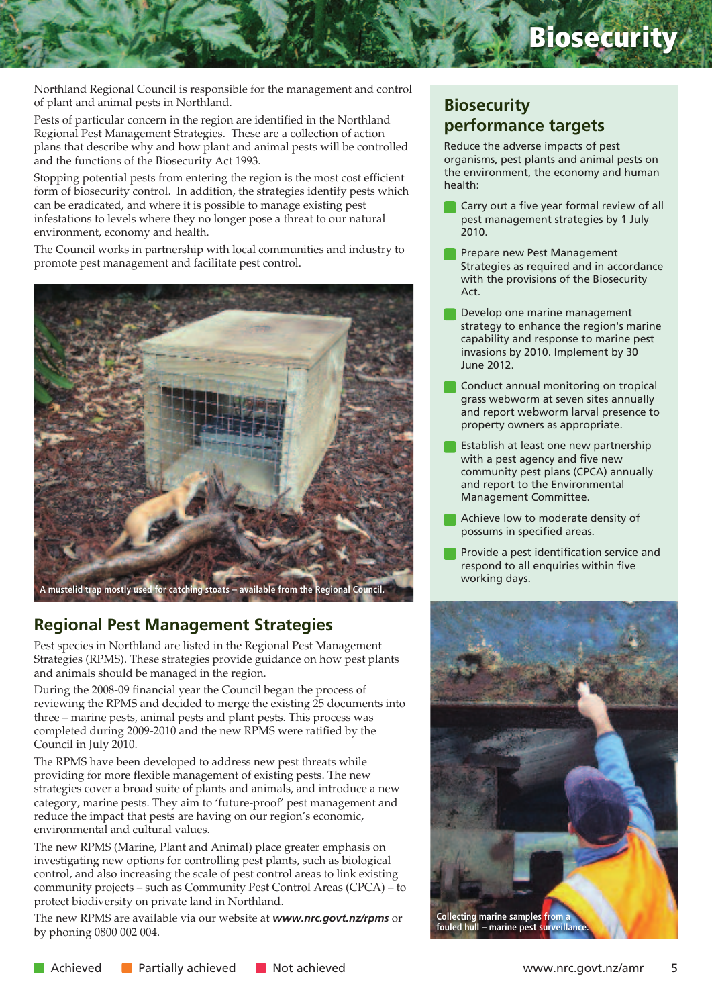# **Biosecurity**

Northland Regional Council is responsible for the management and control of plant and animal pests in Northland.

Pests of particular concern in the region are identified in the Northland Regional Pest Management Strategies. These are a collection of action plans that describe why and how plant and animal pests will be controlled and the functions of the Biosecurity Act 1993.

Stopping potential pests from entering the region is the most cost efficient form of biosecurity control. In addition, the strategies identify pests which can be eradicated, and where it is possible to manage existing pest infestations to levels where they no longer pose a threat to our natural environment, economy and health.

The Council works in partnership with local communities and industry to promote pest management and facilitate pest control.



## **Regional Pest Management Strategies**

Pest species in Northland are listed in the Regional Pest Management Strategies (RPMS). These strategies provide guidance on how pest plants and animals should be managed in the region.

During the 2008-09 financial year the Council began the process of reviewing the RPMS and decided to merge the existing 25 documents into three – marine pests, animal pests and plant pests. This process was completed during 2009-2010 and the new RPMS were ratified by the Council in July 2010.

The RPMS have been developed to address new pest threats while providing for more flexible management of existing pests. The new strategies cover a broad suite of plants and animals, and introduce a new category, marine pests. They aim to 'future-proof' pest management and reduce the impact that pests are having on our region's economic, environmental and cultural values.

The new RPMS (Marine, Plant and Animal) place greater emphasis on investigating new options for controlling pest plants, such as biological control, and also increasing the scale of pest control areas to link existing community projects – such as Community Pest Control Areas (CPCA) – to protect biodiversity on private land in Northland.

The new RPMS are available via our website at *www.nrc.govt.nz/rpms* or by phoning 0800 002 004.

# **Biosecurity performance targets**

Reduce the adverse impacts of pest organisms, pest plants and animal pests on the environment, the economy and human health:

- **Carry out a five year formal review of all** pest management strategies by 1 July 2010.
- Prepare new Pest Management Strategies as required and in accordance with the provisions of the Biosecurity Act.
- Develop one marine management strategy to enhance the region's marine capability and response to marine pest invasions by 2010. Implement by 30 June 2012.
- Conduct annual monitoring on tropical grass webworm at seven sites annually and report webworm larval presence to property owners as appropriate.
- Establish at least one new partnership with a pest agency and five new community pest plans (CPCA) annually and report to the Environmental Management Committee.
- Achieve low to moderate density of possums in specified areas.
- Provide a pest identification service and respond to all enquiries within five working days.

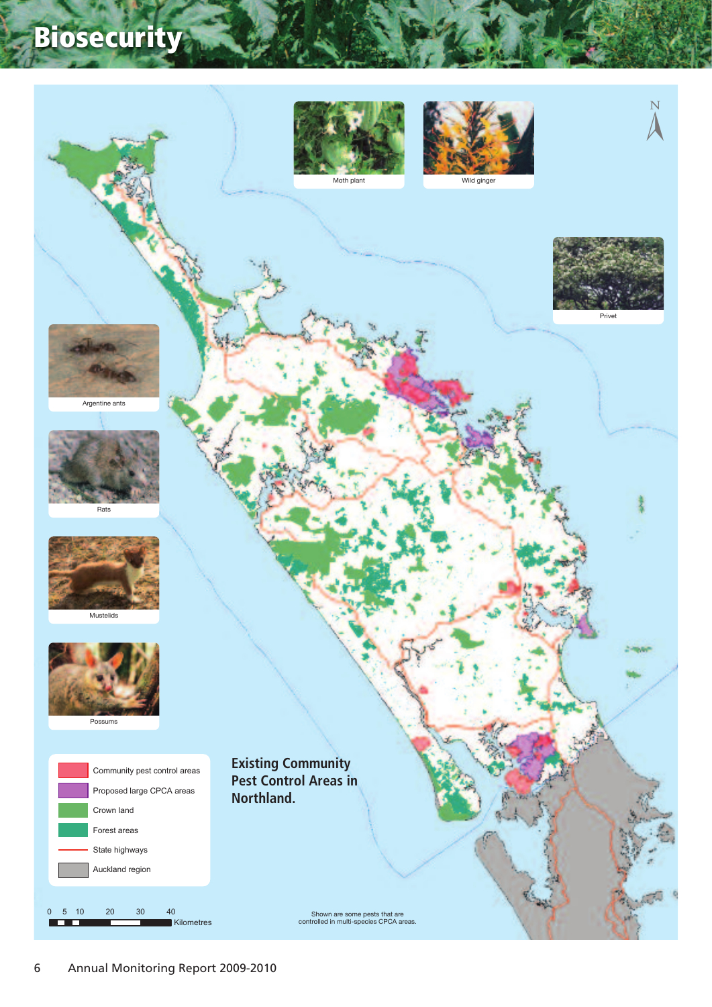# **Biosecurity**

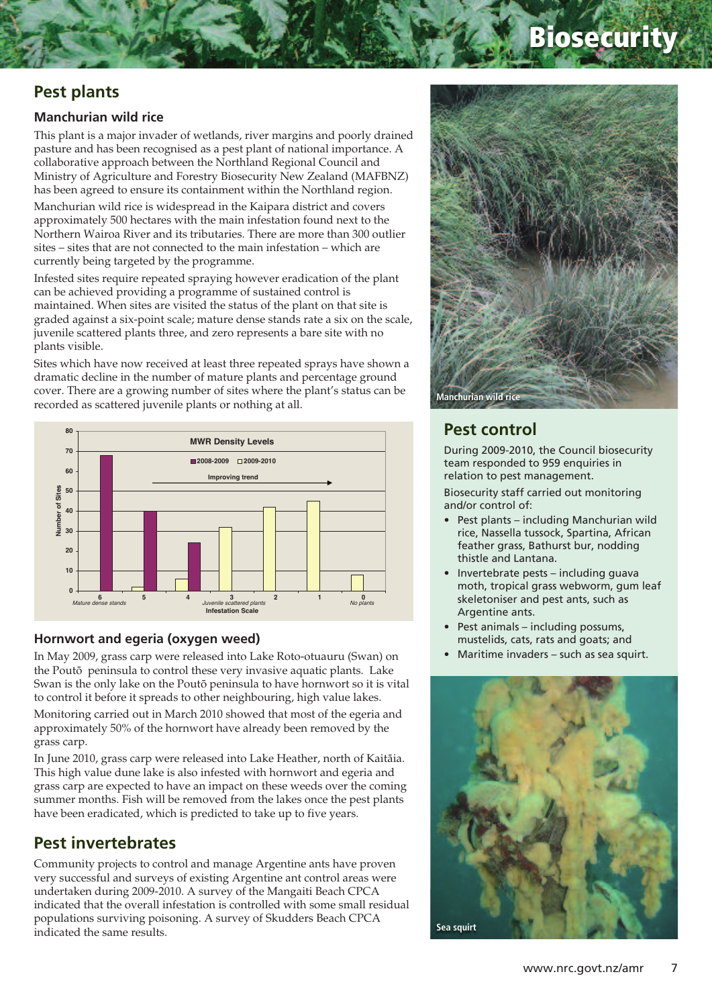# **Biosecurity**

## **Pest plants**

#### **Manchurian wild rice**

This plant is a major invader of wetlands, river margins and poorly drained pasture and has been recognised as a pest plant of national importance. A collaborative approach between the Northland Regional Council and Ministry of Agriculture and Forestry Biosecurity New Zealand (MAFBNZ) has been agreed to ensure its containment within the Northland region.

Manchurian wild rice is widespread in the Kaipara district and covers approximately 500 hectares with the main infestation found next to the Northern Wairoa River and its tributaries. There are more than 300 outlier sites – sites that are not connected to the main infestation – which are currently being targeted by the programme.

Infested sites require repeated spraying however eradication of the plant can be achieved providing a programme of sustained control is maintained. When sites are visited the status of the plant on that site is graded against a six-point scale; mature dense stands rate a six on the scale, juvenile scattered plants three, and zero represents a bare site with no plants visible.

Sites which have now received at least three repeated sprays have shown a dramatic decline in the number of mature plants and percentage ground cover. There are a growing number of sites where the plant's status can be recorded as scattered juvenile plants or nothing at all.



#### **Hornwort and egeria (oxygen weed)**

In May 2009, grass carp were released into Lake Roto-otuauru (Swan) on the Poutö peninsula to control these very invasive aquatic plants. Lake Swan is the only lake on the Poutö peninsula to have hornwort so it is vital to control it before it spreads to other neighbouring, high value lakes.

Monitoring carried out in March 2010 showed that most of the egeria and approximately 50% of the hornwort have already been removed by the grass carp.

In June 2010, grass carp were released into Lake Heather, north of Kaitäia. This high value dune lake is also infested with hornwort and egeria and grass carp are expected to have an impact on these weeds over the coming summer months. Fish will be removed from the lakes once the pest plants have been eradicated, which is predicted to take up to five years.

## **Pest invertebrates**

Community projects to control and manage Argentine ants have proven very successful and surveys of existing Argentine ant control areas were undertaken during 2009-2010. A survey of the Mangaiti Beach CPCA indicated that the overall infestation is controlled with some small residual populations surviving poisoning. A survey of Skudders Beach CPCA indicated the same results.



### **Pest control**

During 2009-2010, the Council biosecurity team responded to 959 enquiries in relation to pest management.

Biosecurity staff carried out monitoring and/or control of:

- Pest plants including Manchurian wild rice, Nassella tussock, Spartina, African feather grass, Bathurst bur, nodding thistle and Lantana.
- Invertebrate pests including guava moth, tropical grass webworm, gum leaf skeletoniser and pest ants, such as Argentine ants.
- Pest animals including possums, mustelids, cats, rats and goats; and
- Maritime invaders such as sea squirt.